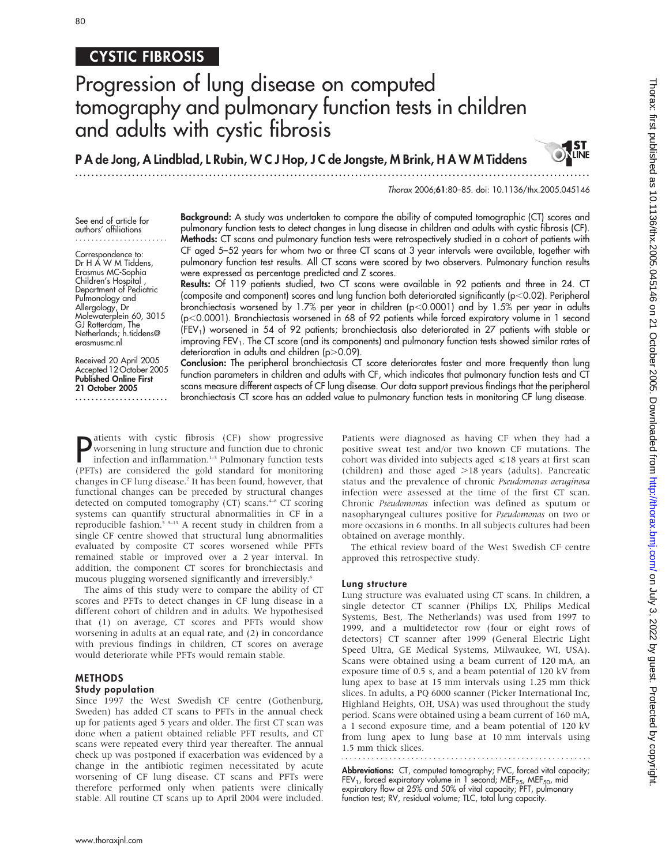# 80

# CYSTIC FIBROSIS

# Progression of lung disease on computed tomography and pulmonary function tests in children and adults with cystic fibrosis

P A de Jong, A Lindblad, L Rubin, W C J Hop, J C de Jongste, M Brink, H A W M Tiddens

...............................................................................................................................



Thorax 2006;61:80–85. doi: 10.1136/thx.2005.045146

See end of article for authors' affiliations .......................

Correspondence to: Dr H A W M Tiddens, Erasmus MC-Sophia Children's Hospital , Department of Pediatric Pulmonology and Allergology, Dr Molewaterplein 60, 3015 GJ Rotterdam, The Netherlands; h.tiddens@ erasmusmc.nl

Received 20 April 2005 Accepted 12 October 2005 Published Online First 21 October 2005 .......................

Background: A study was undertaken to compare the ability of computed tomographic (CT) scores and pulmonary function tests to detect changes in lung disease in children and adults with cystic fibrosis (CF). Methods: CT scans and pulmonary function tests were retrospectively studied in a cohort of patients with CF aged 5–52 years for whom two or three CT scans at 3 year intervals were available, together with pulmonary function test results. All CT scans were scored by two observers. Pulmonary function results were expressed as percentage predicted and Z scores.

Results: Of 119 patients studied, two CT scans were available in 92 patients and three in 24. CT (composite and component) scores and lung function both deteriorated significantly ( $p<0.02$ ). Peripheral bronchiectasis worsened by 1.7% per year in children ( $p<0.0001$ ) and by 1.5% per year in adults (p<0.0001). Bronchiectasis worsened in 68 of 92 patients while forced expiratory volume in 1 second (FEV1) worsened in 54 of 92 patients; bronchiectasis also deteriorated in 27 patients with stable or improving FEV<sub>1</sub>. The CT score (and its components) and pulmonary function tests showed similar rates of deterioration in adults and children ( $p$  > 0.09).

Conclusion: The peripheral bronchiectasis CT score deteriorates faster and more frequently than lung function parameters in children and adults with CF, which indicates that pulmonary function tests and CT scans measure different aspects of CF lung disease. Our data support previous findings that the peripheral bronchiectasis CT score has an added value to pulmonary function tests in monitoring CF lung disease.

**P** atients with cystic fibrosis (CF) show progressive<br>infection and inflammation.<sup>1-3</sup> Pulmonary function tests<br>(PETs) are considered the gold standard for monitoring worsening in lung structure and function due to chronic infection and inflammation.<sup>1-3</sup> Pulmonary function tests (PFTs) are considered the gold standard for monitoring changes in CF lung disease.<sup>2</sup> It has been found, however, that functional changes can be preceded by structural changes detected on computed tomography (CT) scans. $4-8$  CT scoring systems can quantify structural abnormalities in CF in a reproducible fashion.<sup>5 9–13</sup> A recent study in children from a single CF centre showed that structural lung abnormalities evaluated by composite CT scores worsened while PFTs remained stable or improved over a 2 year interval. In addition, the component CT scores for bronchiectasis and mucous plugging worsened significantly and irreversibly.<sup>6</sup>

The aims of this study were to compare the ability of CT scores and PFTs to detect changes in CF lung disease in a different cohort of children and in adults. We hypothesised that (1) on average, CT scores and PFTs would show worsening in adults at an equal rate, and (2) in concordance with previous findings in children, CT scores on average would deteriorate while PFTs would remain stable.

# **METHODS**

# Study population

Since 1997 the West Swedish CF centre (Gothenburg, Sweden) has added CT scans to PFTs in the annual check up for patients aged 5 years and older. The first CT scan was done when a patient obtained reliable PFT results, and CT scans were repeated every third year thereafter. The annual check up was postponed if exacerbation was evidenced by a change in the antibiotic regimen necessitated by acute worsening of CF lung disease. CT scans and PFTs were therefore performed only when patients were clinically stable. All routine CT scans up to April 2004 were included.

Patients were diagnosed as having CF when they had a positive sweat test and/or two known CF mutations. The cohort was divided into subjects aged  $\leq 18$  years at first scan (children) and those aged  $>18$  years (adults). Pancreatic status and the prevalence of chronic Pseudomonas aeruginosa infection were assessed at the time of the first CT scan. Chronic Pseudomonas infection was defined as sputum or nasopharyngeal cultures positive for Pseudomonas on two or more occasions in 6 months. In all subjects cultures had been obtained on average monthly.

The ethical review board of the West Swedish CF centre approved this retrospective study.

#### Lung structure

Lung structure was evaluated using CT scans. In children, a single detector CT scanner (Philips LX, Philips Medical Systems, Best, The Netherlands) was used from 1997 to 1999, and a multidetector row (four or eight rows of detectors) CT scanner after 1999 (General Electric Light Speed Ultra, GE Medical Systems, Milwaukee, WI, USA). Scans were obtained using a beam current of 120 mA, an exposure time of 0.5 s, and a beam potential of 120 kV from lung apex to base at 15 mm intervals using 1.25 mm thick slices. In adults, a PQ 6000 scanner (Picker International Inc, Highland Heights, OH, USA) was used throughout the study period. Scans were obtained using a beam current of 160 mA, a 1 second exposure time, and a beam potential of 120 kV from lung apex to lung base at 10 mm intervals using 1.5 mm thick slices.

Abbreviations: CT, computed tomography; FVC, forced vital capacity; FEV<sub>1</sub>, forced expiratory volume in 1 second; MEF<sub>25</sub>, MEF<sub>50</sub>, mid expiratory flow at 25% and 50% of vital capacity; PFT, pulmonary function test; RV, residual volume; TLC, total lung capacity.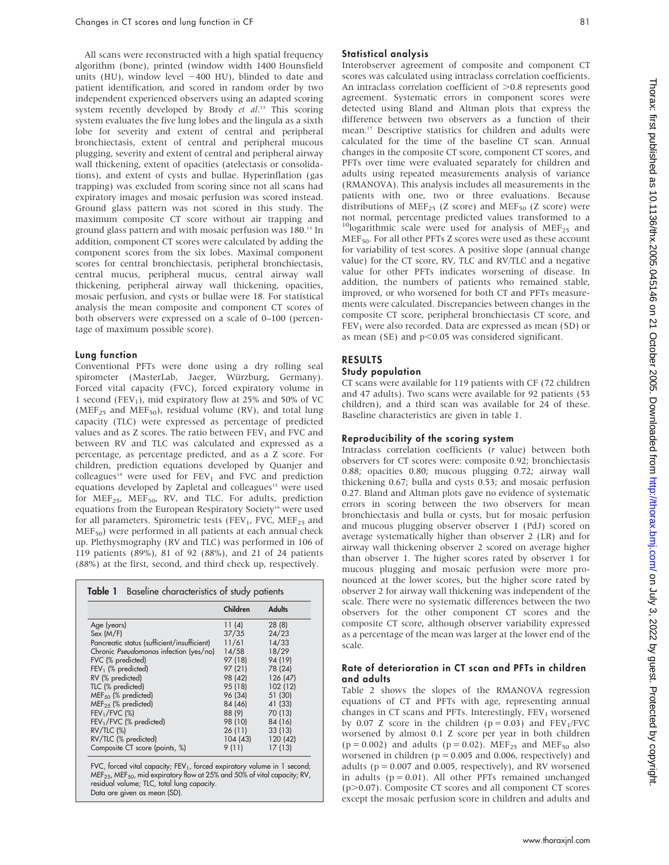All scans were reconstructed with a high spatial frequency algorithm (bone), printed (window width 1400 Hounsfield units (HU), window level  $-400$  HU), blinded to date and patient identification, and scored in random order by two independent experienced observers using an adapted scoring system recently developed by Brody et al.<sup>13</sup> This scoring system evaluates the five lung lobes and the lingula as a sixth lobe for severity and extent of central and peripheral bronchiectasis, extent of central and peripheral mucous plugging, severity and extent of central and peripheral airway wall thickening, extent of opacities (atelectasis or consolidations), and extent of cysts and bullae. Hyperinflation (gas trapping) was excluded from scoring since not all scans had expiratory images and mosaic perfusion was scored instead. Ground glass pattern was not scored in this study. The maximum composite CT score without air trapping and ground glass pattern and with mosaic perfusion was 180.<sup>13</sup> In addition, component CT scores were calculated by adding the component scores from the six lobes. Maximal component scores for central bronchiectasis, peripheral bronchiectasis, central mucus, peripheral mucus, central airway wall thickening, peripheral airway wall thickening, opacities, mosaic perfusion, and cysts or bullae were 18. For statistical analysis the mean composite and component CT scores of both observers were expressed on a scale of 0–100 (percentage of maximum possible score).

# Lung function

Conventional PFTs were done using a dry rolling seal spirometer (MasterLab, Jaeger, Würzburg, Germany). Forced vital capacity (FVC), forced expiratory volume in 1 second (FEV<sub>1</sub>), mid expiratory flow at 25% and 50% of VC ( $MEF<sub>25</sub>$  and  $MEF<sub>50</sub>$ ), residual volume (RV), and total lung capacity (TLC) were expressed as percentage of predicted values and as Z scores. The ratio between  $FEV<sub>1</sub>$  and FVC and between RV and TLC was calculated and expressed as a percentage, as percentage predicted, and as a Z score. For children, prediction equations developed by Quanjer and colleagues<sup>14</sup> were used for  $FEV_1$  and FVC and prediction equations developed by Zapletal and colleagues<sup>15</sup> were used for  $MEF_{25}$ ,  $MEF_{50}$ , RV, and TLC. For adults, prediction equations from the European Respiratory Society<sup>16</sup> were used for all parameters. Spirometric tests (FEV<sub>1</sub>, FVC, MEF<sub>25</sub> and  $MEF_{50}$ ) were performed in all patients at each annual check up. Plethysmography (RV and TLC) was performed in 106 of 119 patients (89%), 81 of 92 (88%), and 21 of 24 patients (88%) at the first, second, and third check up, respectively.

|                                             | Children | <b>Adults</b> |
|---------------------------------------------|----------|---------------|
| Age (years)                                 | 11(4)    | 28(8)         |
| Sex (M/F)                                   | 37/35    | 24/23         |
| Pancreatic status (sufficient/insufficient) | 11/61    | 14/33         |
| Chronic Pseudomonas infection (yes/no)      | 14/58    | 18/29         |
| FVC (% predicted)                           | 97 (18)  | 94 (19)       |
| $FEV1$ (% predicted)                        | 97 (21)  | 78 (24)       |
| RV (% predicted)                            | 98 (42)  | 126 (47)      |
| TLC (% predicted)                           | 95 (18)  | 102(12)       |
| MEF <sub>50</sub> (% predicted)             | 96 (34)  | 51 (30)       |
| $MEF_{25}$ (% predicted)                    | 84 (46)  | 41 (33)       |
| $FEV1/FVC$ (%)                              | 88 (9)   | 70 (13)       |
| $FEV1/FVC$ (% predicted)                    | 98 (10)  | 84 (16)       |
| <b>RV/TLC (%)</b>                           | 26(11)   | 33(13)        |
| RV/TLC (% predicted)                        | 104 (43) | 120 (42)      |
| Composite CT score (points, %)              | 9(11)    | 17(13)        |

# Statistical analysis

Interobserver agreement of composite and component CT scores was calculated using intraclass correlation coefficients. An intraclass correlation coefficient of  $>0.8$  represents good agreement. Systematic errors in component scores were detected using Bland and Altman plots that express the difference between two observers as a function of their mean.17 Descriptive statistics for children and adults were calculated for the time of the baseline CT scan. Annual changes in the composite CT score, component CT scores, and PFTs over time were evaluated separately for children and adults using repeated measurements analysis of variance (RMANOVA). This analysis includes all measurements in the patients with one, two or three evaluations. Because distributions of  $MEF_{25}$  (Z score) and  $MEF_{50}$  (Z score) were not normal, percentage predicted values transformed to a <sup>10</sup>logarithmic scale were used for analysis of MEF<sub>25</sub> and MEF<sub>50</sub>. For all other PFTs Z scores were used as these account for variability of test scores. A positive slope (annual change value) for the CT score, RV, TLC and RV/TLC and a negative value for other PFTs indicates worsening of disease. In addition, the numbers of patients who remained stable, improved, or who worsened for both CT and PFTs measurements were calculated. Discrepancies between changes in the composite CT score, peripheral bronchiectasis CT score, and  $FEV<sub>1</sub>$  were also recorded. Data are expressed as mean (SD) or as mean (SE) and  $p<0.05$  was considered significant.

#### RESULTS

#### Study population

CT scans were available for 119 patients with CF (72 children and 47 adults). Two scans were available for 92 patients (53 children), and a third scan was available for 24 of these. Baseline characteristics are given in table 1.

## Reproducibility of the scoring system

Intraclass correlation coefficients (r value) between both observers for CT scores were: composite 0.92; bronchiectasis 0.88; opacities 0.80; mucous plugging 0.72; airway wall thickening 0.67; bulla and cysts 0.53; and mosaic perfusion 0.27. Bland and Altman plots gave no evidence of systematic errors in scoring between the two observers for mean bronchiectasis and bulla or cysts, but for mosaic perfusion and mucous plugging observer observer 1 (PdJ) scored on average systematically higher than observer 2 (LR) and for airway wall thickening observer 2 scored on average higher than observer 1. The higher scores rated by observer 1 for mucous plugging and mosaic perfusion were more pronounced at the lower scores, but the higher score rated by observer 2 for airway wall thickening was independent of the scale. There were no systematic differences between the two observers for the other component CT scores and the composite CT score, although observer variability expressed as a percentage of the mean was larger at the lower end of the scale.

#### Rate of deterioration in CT scan and PFTs in children and adults

Table 2 shows the slopes of the RMANOVA regression equations of CT and PFTs with age, representing annual changes in CT scans and PFTs. Interestingly,  $FEV<sub>1</sub>$  worsened by 0.07 Z score in the children ( $p = 0.03$ ) and  $FEV<sub>1</sub>/FVC$ worsened by almost 0.1 Z score per year in both children ( $p = 0.002$ ) and adults ( $p = 0.02$ ). MEF<sub>25</sub> and MEF<sub>50</sub> also worsened in children ( $p = 0.005$  and 0.006, respectively) and adults ( $p = 0.007$  and 0.005, respectively), and RV worsened in adults  $(p = 0.01)$ . All other PFTs remained unchanged (p>0.07). Composite CT scores and all component CT scores except the mosaic perfusion score in children and adults and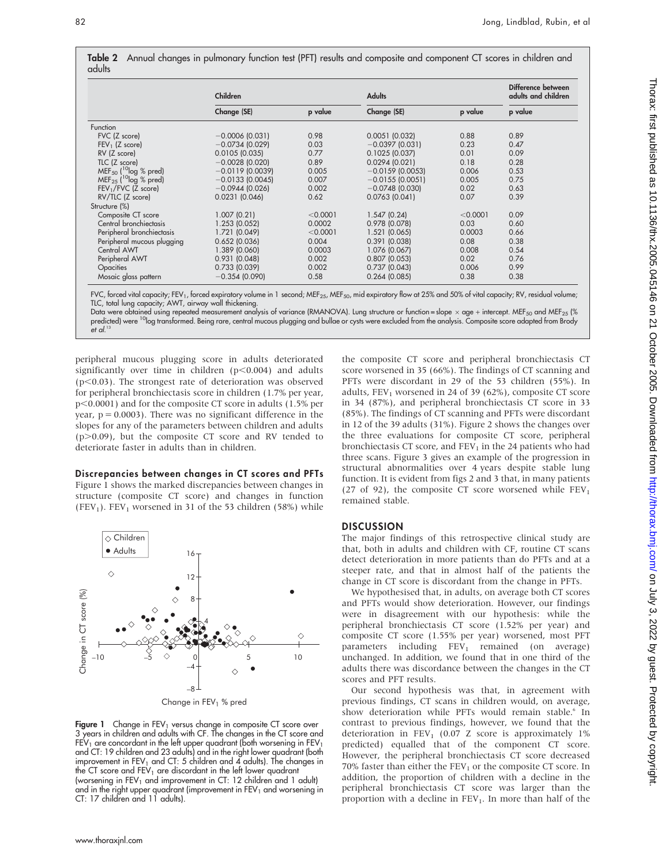|        | Table 2 Annual changes in pulmonary function test (PFT) results and composite and component CT scores in children and |  |  |  |  |
|--------|-----------------------------------------------------------------------------------------------------------------------|--|--|--|--|
| adults |                                                                                                                       |  |  |  |  |

|                                         | Children           |          | <b>Adults</b>      | Difference between<br>adults and children |         |
|-----------------------------------------|--------------------|----------|--------------------|-------------------------------------------|---------|
|                                         | Change (SE)        | p value  | Change (SE)        | p value                                   | p value |
| Function                                |                    |          |                    |                                           |         |
| FVC (Z score)                           | $-0.0006(0.031)$   | 0.98     | 0.0051(0.032)      | 0.88                                      | 0.89    |
| $FEV1$ (Z score)                        | $-0.0734(0.029)$   | 0.03     | $-0.0397(0.031)$   | 0.23                                      | 0.47    |
| RV (Z score)                            | 0.0105(0.035)      | 0.77     | 0.1025 (0.037)     | 0.01                                      | 0.09    |
| TLC (Z score)                           | $-0.0028$ (0.020)  | 0.89     | 0.0294(0.021)      | 0.18                                      | 0.28    |
| MEF <sub>50</sub> ( $^{10}$ log % pred) | $-0.0119$ (0.0039) | 0.005    | $-0.0159$ (0.0053) | 0.006                                     | 0.53    |
| $MEF_{25}$ ( <sup>10</sup> log % pred)  | $-0.0133(0.0045)$  | 0.007    | $-0.0155(0.0051)$  | 0.005                                     | 0.75    |
| $FEV1/FVC$ (Z score)                    | $-0.0944(0.026)$   | 0.002    | $-0.0748$ (0.030)  | 0.02                                      | 0.63    |
| RV/TLC (Z score)                        | 0.0231(0.046)      | 0.62     | 0.0763(0.041)      | 0.07                                      | 0.39    |
| Structure (%)                           |                    |          |                    |                                           |         |
| Composite CT score                      | 1.007(0.21)        | < 0.0001 | 1.547(0.24)        | < 0.0001                                  | 0.09    |
| Central bronchiectasis                  | 1.253 (0.052)      | 0.0002   | 0.978(0.078)       | 0.03                                      | 0.60    |
| Peripheral bronchiectasis               | 1.721 (0.049)      | < 0.0001 | 1.521 (0.065)      | 0.0003                                    | 0.66    |
| Peripheral mucous plugging              | 0.652(0.036)       | 0.004    | 0.391(0.038)       | 0.08                                      | 0.38    |
| Central AWT                             | 1.389 (0.060)      | 0.0003   | 1.076 (0.067)      | 0.008                                     | 0.54    |
| Peripheral AWT                          | 0.931(0.048)       | 0.002    | 0.807(0.053)       | 0.02                                      | 0.76    |
| Opacities                               | 0.733(0.039)       | 0.002    | 0.737(0.043)       | 0.006                                     | 0.99    |
| Mosaic glass pattern                    | $-0.354(0.090)$    | 0.58     | 0.264(0.085)       | 0.38                                      | 0.38    |

FVC, forced vital capacity; FEV<sub>1</sub>, forced expiratory volume in 1 second; MEF<sub>25</sub>, MEF<sub>50</sub>, mid expiratory flow at 25% and 50% of vital capacity; RV, residual volume; TLC, total lung capacity; AWT, airway wall thickening.

Data were obtained using repeated measurement analysis of variance (RMANOVA). Lung structure or function=slope × age + intercept. MEF<sub>50</sub> and MEF<sub>25</sub> (% predicted) were <sup>10</sup>log transformed. Being rare, central mucous plugging and bullae or cysts were excluded from the analysis. Composite score adapted from Brody et al. 13

peripheral mucous plugging score in adults deteriorated significantly over time in children ( $p<0.004$ ) and adults ( $p$ <0.03). The strongest rate of deterioration was observed for peripheral bronchiectasis score in children (1.7% per year, p<0.0001) and for the composite CT score in adults (1.5% per year,  $p = 0.0003$ ). There was no significant difference in the slopes for any of the parameters between children and adults  $(p>0.09)$ , but the composite CT score and RV tended to deteriorate faster in adults than in children.

### Discrepancies between changes in CT scores and PFTs

Figure 1 shows the marked discrepancies between changes in structure (composite CT score) and changes in function (FEV<sub>1</sub>). FEV<sub>1</sub> worsened in 31 of the 53 children (58%) while



**Figure 1** Change in FEV<sub>1</sub> versus change in composite CT score over<br>3 years in children and adults with CF. The changes in the CT score and FEV<sub>1</sub> are concordant in the left upper quadrant (both worsening in FEV<sub>1</sub> and CT: 19 children and 23 adults) and in the right lower quadrant (both improvement in FEV<sub>1</sub> and CT: 5 children and  $\tilde{A}$  adults). The changes in the CT score and  $FEV<sub>1</sub>$  are discordant in the left lower quadrant (worsening in  $FEV<sub>1</sub>$  and improvement in CT: 12 children and 1 adult) and in the right upper quadrant (improvement in  $FEV<sub>1</sub>$  and worsening in CT: 17 children and 11 adults).

the composite CT score and peripheral bronchiectasis CT score worsened in 35 (66%). The findings of CT scanning and PFTs were discordant in 29 of the 53 children (55%). In adults,  $FEV<sub>1</sub>$  worsened in 24 of 39 (62%), composite CT score in 34 (87%), and peripheral bronchiectasis CT score in 33 (85%). The findings of CT scanning and PFTs were discordant in 12 of the 39 adults (31%). Figure 2 shows the changes over the three evaluations for composite CT score, peripheral bronchiectasis CT score, and  $FEV<sub>1</sub>$  in the 24 patients who had three scans. Figure 3 gives an example of the progression in structural abnormalities over 4 years despite stable lung function. It is evident from figs 2 and 3 that, in many patients (27 of 92), the composite CT score worsened while  $FEV<sub>1</sub>$ remained stable.

#### **DISCUSSION**

The major findings of this retrospective clinical study are that, both in adults and children with CF, routine CT scans detect deterioration in more patients than do PFTs and at a steeper rate, and that in almost half of the patients the change in CT score is discordant from the change in PFTs.

We hypothesised that, in adults, on average both CT scores and PFTs would show deterioration. However, our findings were in disagreement with our hypothesis: while the peripheral bronchiectasis CT score (1.52% per year) and composite CT score (1.55% per year) worsened, most PFT parameters including  $FEV<sub>1</sub>$  remained (on average) unchanged. In addition, we found that in one third of the adults there was discordance between the changes in the CT scores and PFT results.

Our second hypothesis was that, in agreement with previous findings, CT scans in children would, on average, show deterioration while PFTs would remain stable.<sup>6</sup> In contrast to previous findings, however, we found that the deterioration in  $FEV<sub>1</sub>$  (0.07 Z score is approximately 1% predicted) equalled that of the component CT score. However, the peripheral bronchiectasis CT score decreased 70% faster than either the  $FEV<sub>1</sub>$  or the composite CT score. In addition, the proportion of children with a decline in the peripheral bronchiectasis CT score was larger than the proportion with a decline in  $FEV<sub>1</sub>$ . In more than half of the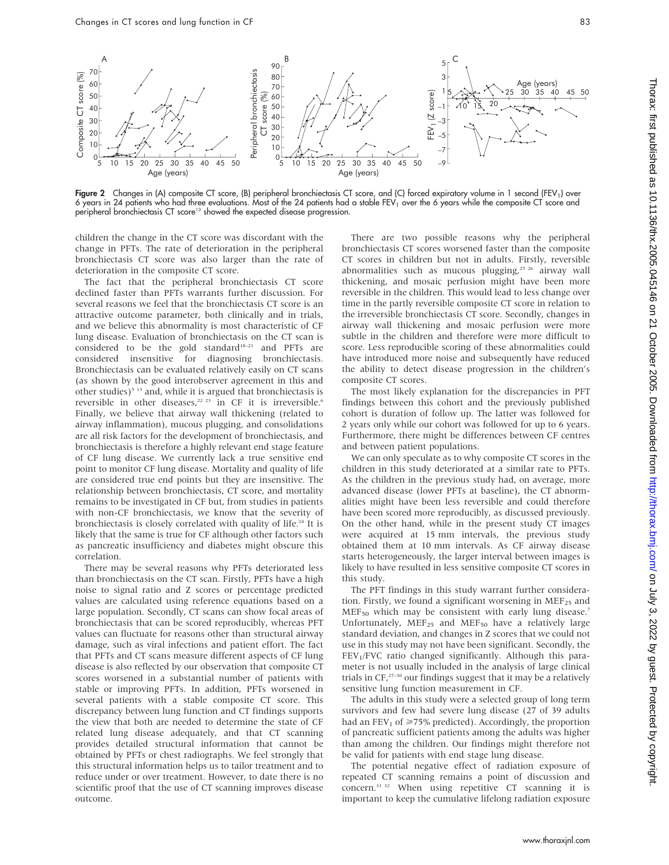

Figure 2 Changes in (A) composite CT score, (B) peripheral bronchiectasis CT score, and (C) forced expiratory volume in 1 second (FEV<sub>1</sub>) over 6 years in 24 patients who had three evaluations. Most of the 24 patients had a stable FEV<sub>1</sub> over the 6 years while the composite CT score and peripheral bronchiectasis CT score<sup>13</sup> showed the expected disease progression.

children the change in the CT score was discordant with the change in PFTs. The rate of deterioration in the peripheral bronchiectasis CT score was also larger than the rate of deterioration in the composite CT score.

The fact that the peripheral bronchiectasis CT score declined faster than PFTs warrants further discussion. For several reasons we feel that the bronchiectasis CT score is an attractive outcome parameter, both clinically and in trials, and we believe this abnormality is most characteristic of CF lung disease. Evaluation of bronchiectasis on the CT scan is considered to be the gold standard<sup>18-21</sup> and PFTs are considered insensitive for diagnosing bronchiectasis. Bronchiectasis can be evaluated relatively easily on CT scans (as shown by the good interobserver agreement in this and other studies) $5^{13}$  and, while it is argued that bronchiectasis is reversible in other diseases,<sup>22 23</sup> in CF it is irreversible.<sup>6</sup> Finally, we believe that airway wall thickening (related to airway inflammation), mucous plugging, and consolidations are all risk factors for the development of bronchiectasis, and bronchiectasis is therefore a highly relevant end stage feature of CF lung disease. We currently lack a true sensitive end point to monitor CF lung disease. Mortality and quality of life are considered true end points but they are insensitive. The relationship between bronchiectasis, CT score, and mortality remains to be investigated in CF but, from studies in patients with non-CF bronchiectasis, we know that the severity of bronchiectasis is closely correlated with quality of life.<sup>24</sup> It is likely that the same is true for CF although other factors such as pancreatic insufficiency and diabetes might obscure this correlation.

There may be several reasons why PFTs deteriorated less than bronchiectasis on the CT scan. Firstly, PFTs have a high noise to signal ratio and Z scores or percentage predicted values are calculated using reference equations based on a large population. Secondly, CT scans can show focal areas of bronchiectasis that can be scored reproducibly, whereas PFT values can fluctuate for reasons other than structural airway damage, such as viral infections and patient effort. The fact that PFTs and CT scans measure different aspects of CF lung disease is also reflected by our observation that composite CT scores worsened in a substantial number of patients with stable or improving PFTs. In addition, PFTs worsened in several patients with a stable composite CT score. This discrepancy between lung function and CT findings supports the view that both are needed to determine the state of CF related lung disease adequately, and that CT scanning provides detailed structural information that cannot be obtained by PFTs or chest radiographs. We feel strongly that this structural information helps us to tailor treatment and to reduce under or over treatment. However, to date there is no scientific proof that the use of CT scanning improves disease outcome.

There are two possible reasons why the peripheral bronchiectasis CT scores worsened faster than the composite CT scores in children but not in adults. Firstly, reversible abnormalities such as mucous plugging,<sup>25 26</sup> airway wall thickening, and mosaic perfusion might have been more reversible in the children. This would lead to less change over time in the partly reversible composite CT score in relation to the irreversible bronchiectasis CT score. Secondly, changes in airway wall thickening and mosaic perfusion were more subtle in the children and therefore were more difficult to score. Less reproducible scoring of these abnormalities could have introduced more noise and subsequently have reduced the ability to detect disease progression in the children's composite CT scores.

The most likely explanation for the discrepancies in PFT findings between this cohort and the previously published cohort is duration of follow up. The latter was followed for 2 years only while our cohort was followed for up to 6 years. Furthermore, there might be differences between CF centres and between patient populations.

We can only speculate as to why composite CT scores in the children in this study deteriorated at a similar rate to PFTs. As the children in the previous study had, on average, more advanced disease (lower PFTs at baseline), the CT abnormalities might have been less reversible and could therefore have been scored more reproducibly, as discussed previously. On the other hand, while in the present study CT images were acquired at 15 mm intervals, the previous study obtained them at 10 mm intervals. As CF airway disease starts heterogeneously, the larger interval between images is likely to have resulted in less sensitive composite CT scores in this study.

The PFT findings in this study warrant further consideration. Firstly, we found a significant worsening in  $MEF_{25}$  and MEF<sub>50</sub> which may be consistent with early lung disease.<sup>7</sup> Unfortunately,  $MEF_{25}$  and  $MEF_{50}$  have a relatively large standard deviation, and changes in Z scores that we could not use in this study may not have been significant. Secondly, the FEV<sub>1</sub>/FVC ratio changed significantly. Although this parameter is not usually included in the analysis of large clinical trials in  $CF, <sup>27-30</sup>$  our findings suggest that it may be a relatively sensitive lung function measurement in CF.

The adults in this study were a selected group of long term survivors and few had severe lung disease (27 of 39 adults had an  $FEV_1$  of  $\geq 75\%$  predicted). Accordingly, the proportion of pancreatic sufficient patients among the adults was higher than among the children. Our findings might therefore not be valid for patients with end stage lung disease.

The potential negative effect of radiation exposure of repeated CT scanning remains a point of discussion and concern.31 32 When using repetitive CT scanning it is important to keep the cumulative lifelong radiation exposure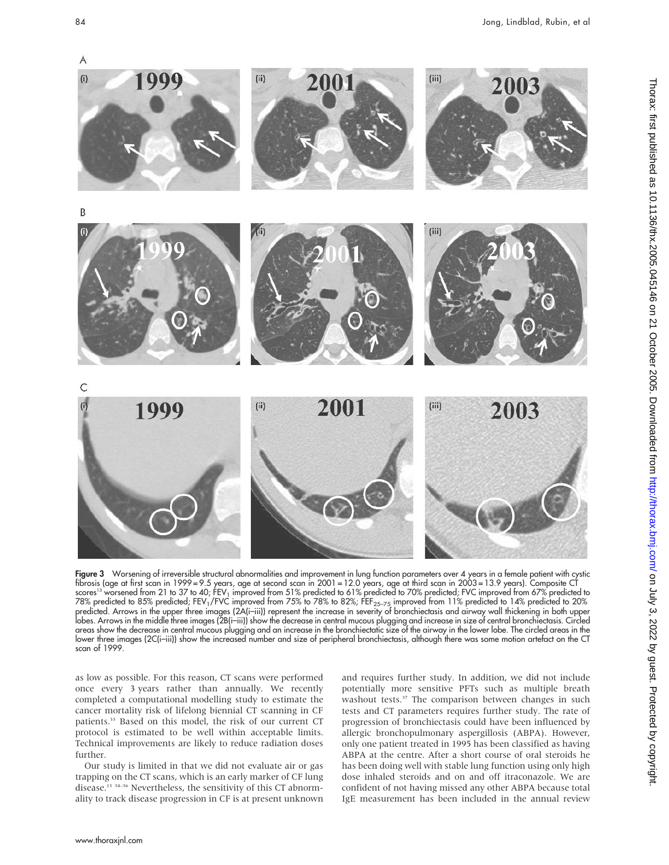

Figure 3 Worsening of irreversible structural abnormalities and improvement in lung function parameters over 4 years in a female patient with cystic tibrosis (age at tirst scan in 1999=9.5 years, age at second scan in 2001=12.0 years, age at third scan in 2003=13.9 years). Composite CT<br>scores'<sup>3</sup> worsened from 21 to 37 to 40; FEV<sub>1</sub> improved from 51% predicted to 61% p 78% predicted to 85% predicted; FEV<sub>1</sub>/FVC improved from 75% to 78% to 82%; FEF<sub>25–75</sub> improved from 11% predicted to 14% predicted to 20% predicted. Arrows in the upper three images (2A(i–iii)) represent the increase in severity of bronchiectasis and airway wall thickening in both upper lobes. Arrows in the middle three images (2B(i–iii)) show the decrease in central mucous plugging and increase in size of central bronchiectasis. Circled areas show the decrease in central mucous plugging and an increase in the bronchiectatic size of the airway in the lower lobe. The circled areas in the lower three images (2C(i–iii)) show the increased number and size of peripheral bronchiectasis, although there was some motion artefact on the CT scan of 1999.

as low as possible. For this reason, CT scans were performed once every 3 years rather than annually. We recently completed a computational modelling study to estimate the cancer mortality risk of lifelong biennial CT scanning in CF patients.<sup>33</sup> Based on this model, the risk of our current CT protocol is estimated to be well within acceptable limits. Technical improvements are likely to reduce radiation doses further.

Our study is limited in that we did not evaluate air or gas trapping on the CT scans, which is an early marker of CF lung disease.<sup>13</sup> <sup>34-36</sup> Nevertheless, the sensitivity of this CT abnormality to track disease progression in CF is at present unknown

and requires further study. In addition, we did not include potentially more sensitive PFTs such as multiple breath washout tests.<sup>37</sup> The comparison between changes in such tests and CT parameters requires further study. The rate of progression of bronchiectasis could have been influenced by allergic bronchopulmonary aspergillosis (ABPA). However, only one patient treated in 1995 has been classified as having ABPA at the centre. After a short course of oral steroids he has been doing well with stable lung function using only high dose inhaled steroids and on and off itraconazole. We are confident of not having missed any other ABPA because total IgE measurement has been included in the annual review